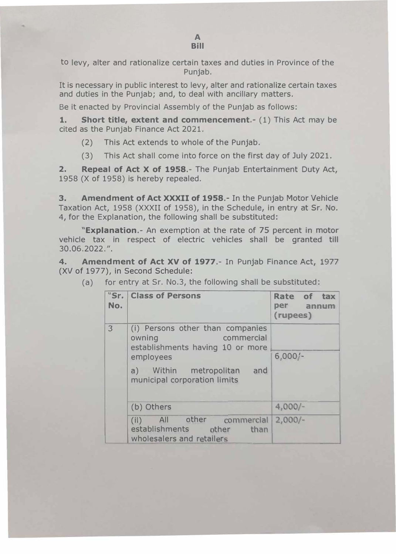to levy, alter and rationalize certain taxes and duties in Province of the Punjab.

It is necessary in public interest to levy, alter and rationalize certain taxes and duties in the Punjab; and, to deal with ancillary matters.

Be it enacted by Provincial Assembly of the Punjab as follows:

**1. Short title, extent and commencement.-** (1) This Act may be cited as the Punjab Finance Act 2021.

- (2) This Act extends to whole of the Punjab.
- (3) This Act shall come into force on the first day of July 2021.

**2. Repeal of Act X of 1958.-** The Punjab Entertainment Duty Act, 1958 (X of 1958) is hereby repealed.

**3. Amendment of Act XXXII of 1958.-** In the Punjab Motor Vehicle Taxation Act, 1958 (XXXII of 1958), in the Schedule, in entry at Sr. No. 4, for the Explanation, the following shall be substituted:

**"Explanation.-** An exemption at the rate of 75 percent in motor vehicle tax in respect of electric vehicles shall be granted till 30.06.2022. ".

**4. Amendment of Act XV of 1977.-** In Punjab Finance Act, 1977 (XV of 1977), in Second Schedule:

| No. | "Sr.   Class of Persons                                                                                   | Rate of tax<br>per annum<br>(rupees) |
|-----|-----------------------------------------------------------------------------------------------------------|--------------------------------------|
| 3   | (i) Persons other than companies<br>commercial<br>owning<br>establishments having 10 or more<br>employees | $6,000/-$                            |
|     | a) Within metropolitan and<br>municipal corporation limits                                                |                                      |
|     | (b) Others                                                                                                | $4,000/-$                            |
|     | All other commercial<br>(ii)<br>establishments other<br>than<br>wholesalers and retailers                 | $2,000/-$                            |

(a) for entry at Sr. No.3, the following shall be substituted: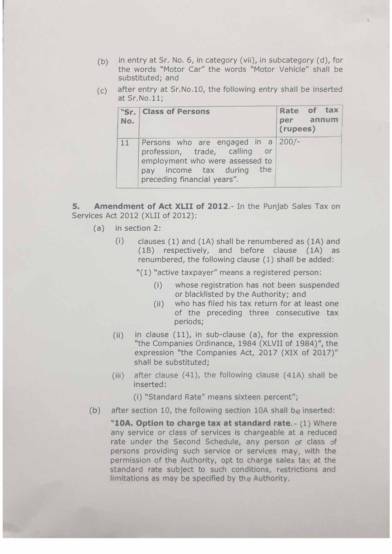- (b) in entry at Sr. No. 6, in category (vii), in subcategory (d), for the words "Motor Car" the words "Motor Vehicle" shall be substituted; and
- $(c)$  after entry at Sr. No. 10, the following entry shall be inserted at Sr.No.11;

| No. | "Sr.   Class of Persons                                                                                                                                            | Rate of tax<br>per annum<br>(rupees) |
|-----|--------------------------------------------------------------------------------------------------------------------------------------------------------------------|--------------------------------------|
| 11  | Persons who are engaged in a 200/-<br>profession, trade, calling or<br>employment who were assessed to<br>pay income tax during the<br>preceding financial years". |                                      |

**5. Amendment of Act XLII of 2012.-** In the Punjab Sales Tax on Services Act 2012 (XLII of 2012):

- (a) in section 2:
	- $(i)$  clauses (1) and (1A) shall be renumbered as (1A) and (1B) respectively, and before clause (1A) as renumbered, the following clause ( 1) shall be added:

"(1) "active taxpayer" means a registered person:

- (i) whose registration has not been suspended or blacklisted by the Authority; and
- (ii) who has filed his tax return for at least one of the preceding three consecutive tax periods;
- (ii) in clause  $(11)$ , in sub-clause  $(a)$ , for the expression "the Companies Ordinance, 1984 (XLVII of 1984)", the expression "the Companies Act, 2017 (XIX of 2017)" shall be substituted;
- (iii) after clause  $(41)$ , the following clause  $(41A)$  shall be inserted:

(i) "Standard Rate" means sixteen percent";

(b) after section 10, the following section 10A shall be inserted:

"10A. Option to charge tax at standard rate. (1) Where any service or class of services is chargeable at a reduced rate under the Second Schedule, any person or class of persons providing such service or services may, with the permission of the Authority, opt to charge sales tax at the standard rate subject to such conditions, restrictions and limitations as may be specified by the Authority.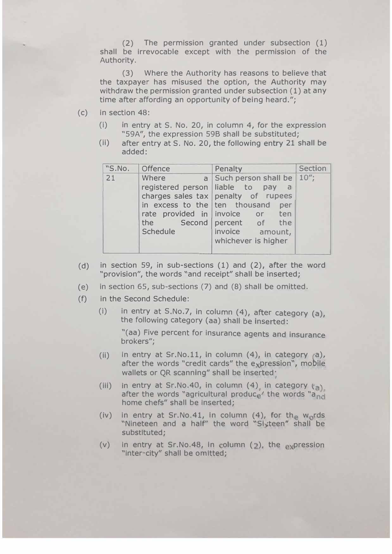(2) The permission granted under subsection (1) shall be irrevocable except with the permission of the Authority.

(3) Where the Authority has reasons to believe that the taxpayer has misused the option, the Authority may withdraw the permission granted under subsection (1) at any time after affording an opportunity of being heard.";

- (c) in section 48:
	- (i) in entry at S. No. 20, in column 4, for the expression "59A", the expression 59B shall be substituted;
	- (ii) after entry at S. No. 20, the following entry 21 shall be added:

| "S.No.     | <b>Offence</b>                                                                                      | Penalty                                                                                                                                                                                | <b>Section</b> |
|------------|-----------------------------------------------------------------------------------------------------|----------------------------------------------------------------------------------------------------------------------------------------------------------------------------------------|----------------|
| 21<br>mar. | Where<br>registered person liable to pay<br>in excess to the ten thousand<br>the<br><b>Schedule</b> | a Such person shall be 10";<br>a a<br>charges sales tax penalty of rupees<br>per<br>rate provided in invoice or ten<br>Second percent of the<br>invoice amount,<br>whichever is higher |                |

- (d) in section 59, in sub-sections (1) and (2), after the word "provision", the words "and receipt" shall be inserted;
- (e) in section 65, sub-sections (7) and (8) shall be omitted.
- (f) in the Second Schedule:
	- (i) in entry at S.No.7, in column (4), after category (a), the following category (aa) shall be inserted:

"(aa) Five percent for insurance agents and insurance brokers";

- (ii) in entry at Sr.No.11, in column  $(4)$ , in category  $(a)$ , after the words "credit cards" the expression", mobile wallets or QR scanning" shall be inserted·
- (iii) in entry at Sr.No.40, in column (4) in category  $(a)$ . after the words "agricultural produce" the words "and home chefs" shall be Inserted;
- (iv) in entry at Sr.No.41, in column  $(4)$ , for the words "Nineteen and a half" the word "Sixteen" shall be substituted;
- (v) in entry at Sr.No.48, in column  $(2)$ , the expression "inter city" shall be omitted;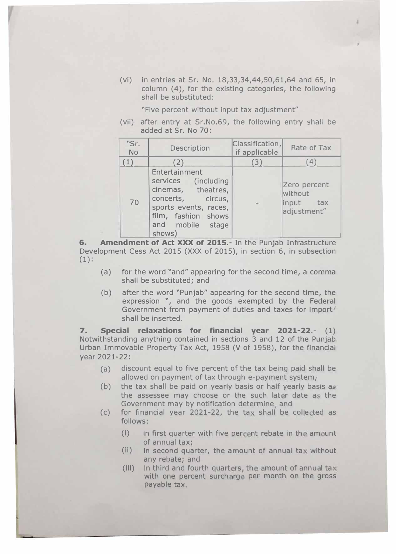(vi) in entries at Sr. No. 18,33,34,44,50,61,64 and 65, in column (4), for the existing categories, the following shall be substituted:

,

"Five percent without input tax adjustment"

(vii) after entry at Sr.No.69, the following entry shall be added at Sr. No 70:

| "Sr.<br><b>No</b> | Description                                                                                                                                                   | Classification,<br>if applicable | Rate of Tax                                         |
|-------------------|---------------------------------------------------------------------------------------------------------------------------------------------------------------|----------------------------------|-----------------------------------------------------|
| (1)               | (2)                                                                                                                                                           | (3)                              | (4)                                                 |
| 70                | Entertainment<br>services (including<br>cinemas, theatres,<br>concerts, circus,<br>sports events, races,<br>film, fashion shows<br>and mobile stage<br>shows) |                                  | Zero percent<br>without<br>input tax<br>adjustment" |

**6. Amendment of Act XXX of 2015.-** In the Punjab Infrastructure Development Cess Act 2015 (XXX of 2015), in section 6, in subsection  $(1)$ :

- (a) for the word "and" appearing for the second time, a comma shall be substituted; and
- (b) after the word "Punjab" appearing for the second time, the expression ", and the goods exempted by the Federal Government from payment of duties and taxes for import' shall be inserted.

**7. Special relaxations for financial year 2021-22.-** (1) Notwithstanding anything contained in sections 3 and 12 of the Punjab Urban Immovable Property Tax Act, 1958 (V of 1958), for the financial year 2021-22:

- (a) discount equal to five percent of the tax being paid shall be allowed on payment of tax through e-payment system,
- (b) the tax shall be paid on yearly basis or half yearly basis as the assessee may choose or the such later date as the Government may by notification determine, and
- (c) for financial year 2021-22, the tax shall be collected as follows:
	- $(i)$  in first quarter with five percent rebate in the amount of annual tax;
	- $(ii)$  In second quarter, the amount of annual tax without any rebate; and
	- (III) in third and fourth quarters, the amount of annual tax with one percent surcharge per month on the gross payable tax.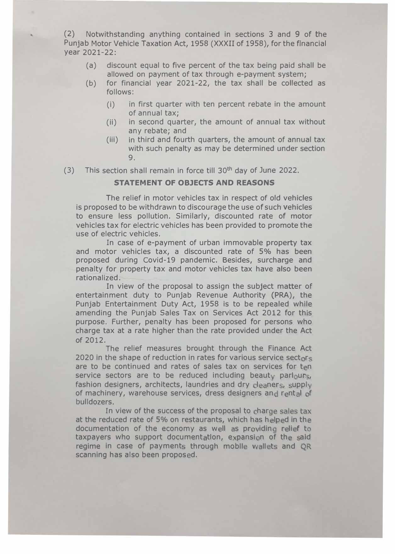(2) Notwithstanding anything contained in sections 3 and 9 of the Punjab Motor Vehicle Taxation Act, 1958 (XXXII of 1958), for the financial year 2021-22:

- (a) discount equal to five percent of the tax being paid shall be allowed on payment of tax through e-payment system;
- (b) for financial year 2021-22, the tax shall be collected as follows:
	- (i) in first quarter with ten percent rebate in the amount of annual tax;
	- (ii) in second quarter, the amount of annual tax without any rebate; and
	- (iii) in third and fourth quarters, the amount of annual tax with such penalty as may be determined under section 9.
- (3) This section shall remain in force till 30th day of June 2022.

## **STATEMENT OF OBJECTS AND REASONS**

The relief in motor vehicles tax in respect of old vehicles is proposed to be withdrawn to discourage the use of such vehicles to ensure less pollution. Similarly, discounted rate of motor vehicles tax for electric vehicles has been provided to promote the use of electric vehicles.

In case of e-payment of urban immovable property tax and motor vehicles tax, a discounted rate of 5% has been proposed during Covid-19 pandemic. Besides, surcharge and penalty for property tax and motor vehicles tax have also been rationalized.

In view of the proposal to assign the subject matter of entertainment duty to Punjab Revenue Authority (PRA), the Punjab Entertainment Duty Act, 1958 is to be repealed while amending the Punjab Sales Tax on Services Act 2012 for this purpose. Further, penalty has been proposed for persons who charge tax at a rate higher than the rate provided under the Act of 2012.

The relief measures brought through the Finance Act 2020 in the shape of reduction in rates for various service sectors are to be continued and rates of sales tax on services for ten service sectors are to be reduced including beauty parlours, fashion designers, architects, laundries and dry cleaners, supply of machinery, warehouse services, dress designers and rental of bulldozers.

In view of the success of the proposal to charge sales tax at the reduced rate of 5% on restaurants, which has helped in the documentation of the economy as well as providing relief to taxpayers who support documentation, expansion of the said regime in case of payments through mobile wallets and QR scanning has also been proposed.